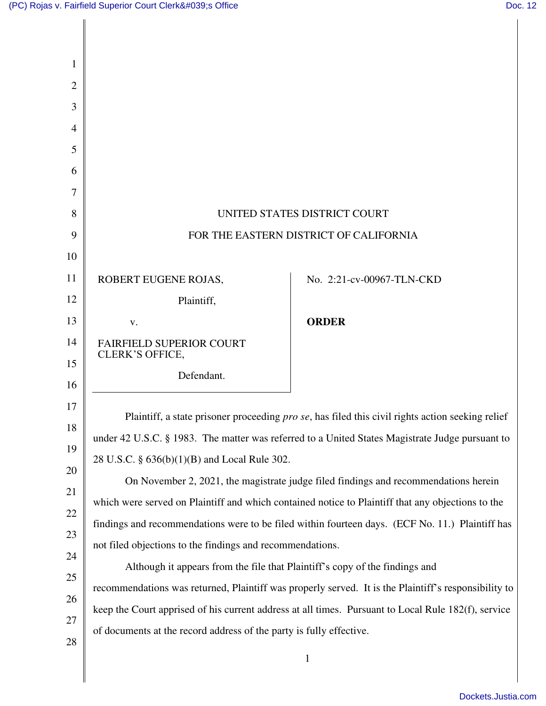Ш

| 1  |                                                                                                      |                           |  |
|----|------------------------------------------------------------------------------------------------------|---------------------------|--|
| 2  |                                                                                                      |                           |  |
| 3  |                                                                                                      |                           |  |
| 4  |                                                                                                      |                           |  |
| 5  |                                                                                                      |                           |  |
| 6  |                                                                                                      |                           |  |
| 7  |                                                                                                      |                           |  |
| 8  | UNITED STATES DISTRICT COURT                                                                         |                           |  |
| 9  | FOR THE EASTERN DISTRICT OF CALIFORNIA                                                               |                           |  |
| 10 |                                                                                                      |                           |  |
| 11 | ROBERT EUGENE ROJAS,                                                                                 | No. 2:21-cv-00967-TLN-CKD |  |
| 12 | Plaintiff,                                                                                           |                           |  |
| 13 | V.                                                                                                   | <b>ORDER</b>              |  |
| 14 | FAIRFIELD SUPERIOR COURT                                                                             |                           |  |
| 15 | <b>CLERK'S OFFICE,</b><br>Defendant.                                                                 |                           |  |
| 16 |                                                                                                      |                           |  |
| 17 | Plaintiff, a state prisoner proceeding pro se, has filed this civil rights action seeking relief     |                           |  |
| 18 | under 42 U.S.C. § 1983. The matter was referred to a United States Magistrate Judge pursuant to      |                           |  |
| 19 | 28 U.S.C. § 636(b)(1)(B) and Local Rule 302.                                                         |                           |  |
| 20 | On November 2, 2021, the magistrate judge filed findings and recommendations herein                  |                           |  |
| 21 | which were served on Plaintiff and which contained notice to Plaintiff that any objections to the    |                           |  |
| 22 | findings and recommendations were to be filed within fourteen days. (ECF No. 11.) Plaintiff has      |                           |  |
| 23 | not filed objections to the findings and recommendations.                                            |                           |  |
| 24 | Although it appears from the file that Plaintiff's copy of the findings and                          |                           |  |
| 25 | recommendations was returned, Plaintiff was properly served. It is the Plaintiff's responsibility to |                           |  |
| 26 | keep the Court apprised of his current address at all times. Pursuant to Local Rule 182(f), service  |                           |  |
| 27 | of documents at the record address of the party is fully effective.                                  |                           |  |
| 28 | $\mathbf{1}$                                                                                         |                           |  |